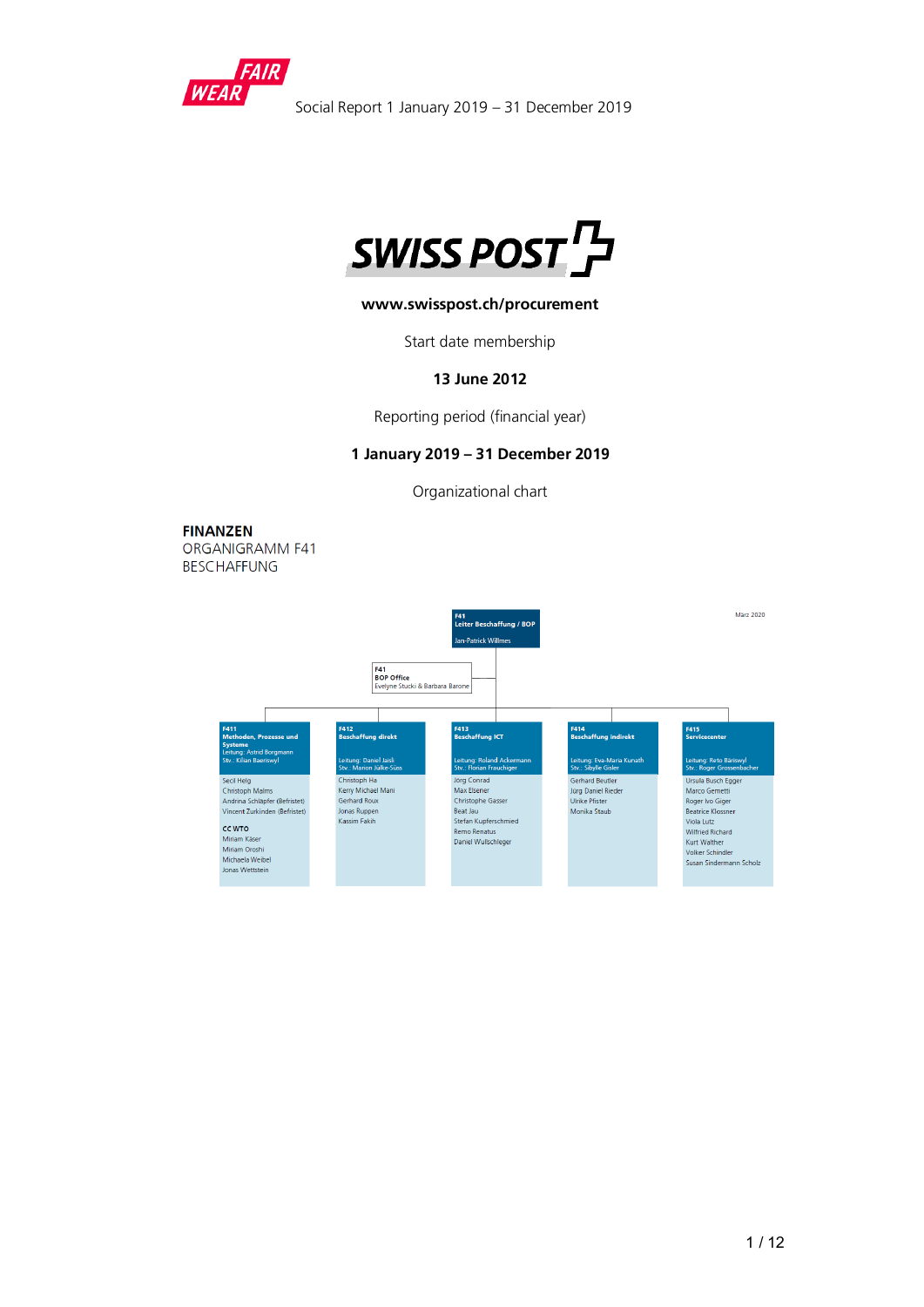



## **www.swisspost.ch/procurement**

Start date membership

#### **13 June 2012**

Reporting period (financial year)

#### **1 January 2019 – 31 December 2019**

Organizational chart

**FINANZEN** ORGANIGRAMM F41 **BESCHAFFUNG** 

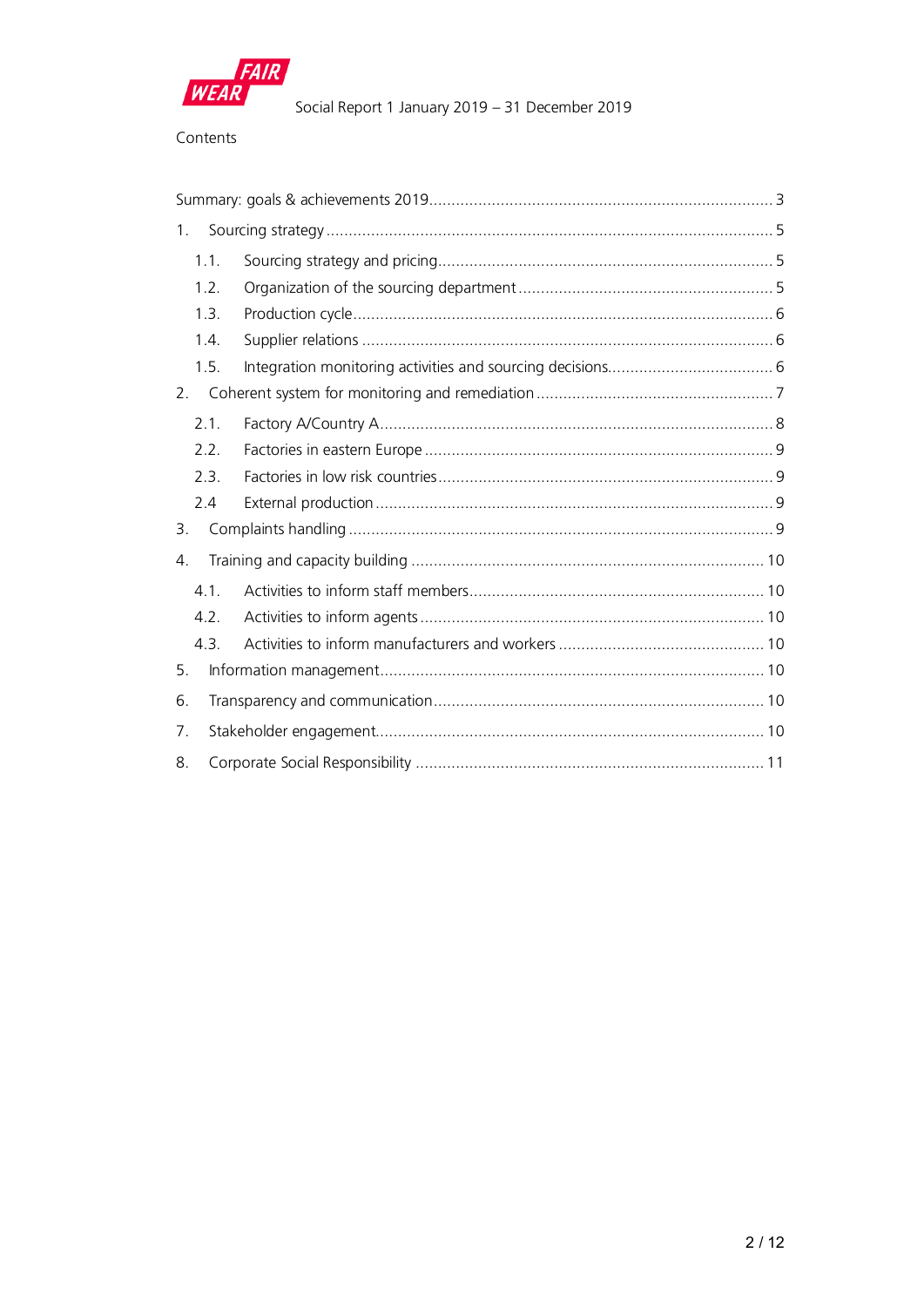

## Contents

| 1.   |  |
|------|--|
| 1.1. |  |
| 1.2. |  |
| 1.3. |  |
| 1.4. |  |
| 1.5. |  |
| 2.   |  |
| 2.1. |  |
| 2.2. |  |
| 2.3. |  |
| 2.4  |  |
| 3.   |  |
| 4.   |  |
| 4.1. |  |
| 4.2. |  |
| 4.3. |  |
| 5.   |  |
| 6.   |  |
| 7.   |  |
| 8.   |  |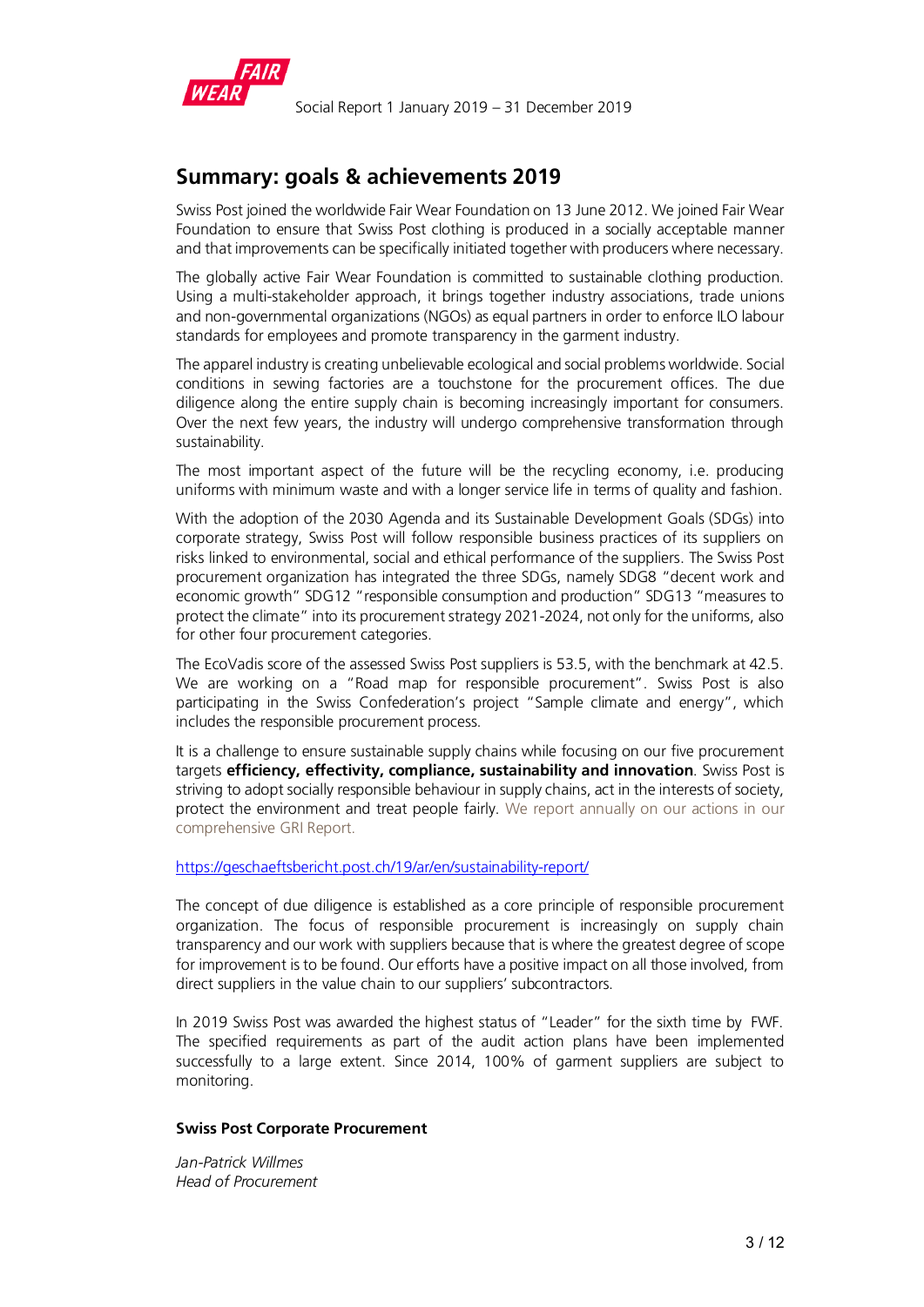

# <span id="page-2-0"></span>**Summary: goals & achievements 2019**

Swiss Post joined the worldwide Fair Wear Foundation on 13 June 2012. We joined Fair Wear Foundation to ensure that Swiss Post clothing is produced in a socially acceptable manner and that improvements can be specifically initiated together with producers where necessary.

The globally active Fair Wear Foundation is committed to sustainable clothing production. Using a multi-stakeholder approach, it brings together industry associations, trade unions and non-governmental organizations (NGOs) as equal partners in order to enforce ILO labour standards for employees and promote transparency in the garment industry.

The apparel industry is creating unbelievable ecological and social problems worldwide. Social conditions in sewing factories are a touchstone for the procurement offices. The due diligence along the entire supply chain is becoming increasingly important for consumers. Over the next few years, the industry will undergo comprehensive transformation through sustainability.

The most important aspect of the future will be the recycling economy, i.e. producing uniforms with minimum waste and with a longer service life in terms of quality and fashion.

With the adoption of the 2030 Agenda and its Sustainable Development Goals (SDGs) into corporate strategy, Swiss Post will follow responsible business practices of its suppliers on risks linked to environmental, social and ethical performance of the suppliers. The Swiss Post procurement organization has integrated the three SDGs, namely SDG8 "decent work and economic growth" SDG12 "responsible consumption and production" SDG13 "measures to protect the climate" into its procurement strategy 2021-2024, not only for the uniforms, also for other four procurement categories.

The EcoVadis score of the assessed Swiss Post suppliers is 53.5, with the benchmark at 42.5. We are working on a "Road map for responsible procurement". Swiss Post is also participating in the Swiss Confederation's project "Sample climate and energy", which includes the responsible procurement process.

It is a challenge to ensure sustainable supply chains while focusing on our five procurement targets **efficiency, effectivity, compliance, sustainability and innovation**. Swiss Post is striving to adopt socially responsible behaviour in supply chains, act in the interests of society, protect the environment and treat people fairly. We report annually on our actions in our comprehensive GRI Report.

#### <https://geschaeftsbericht.post.ch/19/ar/en/sustainability-report/>

The concept of due diligence is established as a core principle of responsible procurement organization. The focus of responsible procurement is increasingly on supply chain transparency and our work with suppliers because that is where the greatest degree of scope for improvement is to be found. Our efforts have a positive impact on all those involved, from direct suppliers in the value chain to our suppliers' subcontractors.

In 2019 Swiss Post was awarded the highest status of "Leader" for the sixth time by FWF. The specified requirements as part of the audit action plans have been implemented successfully to a large extent. Since 2014, 100% of garment suppliers are subject to monitoring.

#### **Swiss Post Corporate Procurement**

*Jan-Patrick Willmes Head of Procurement*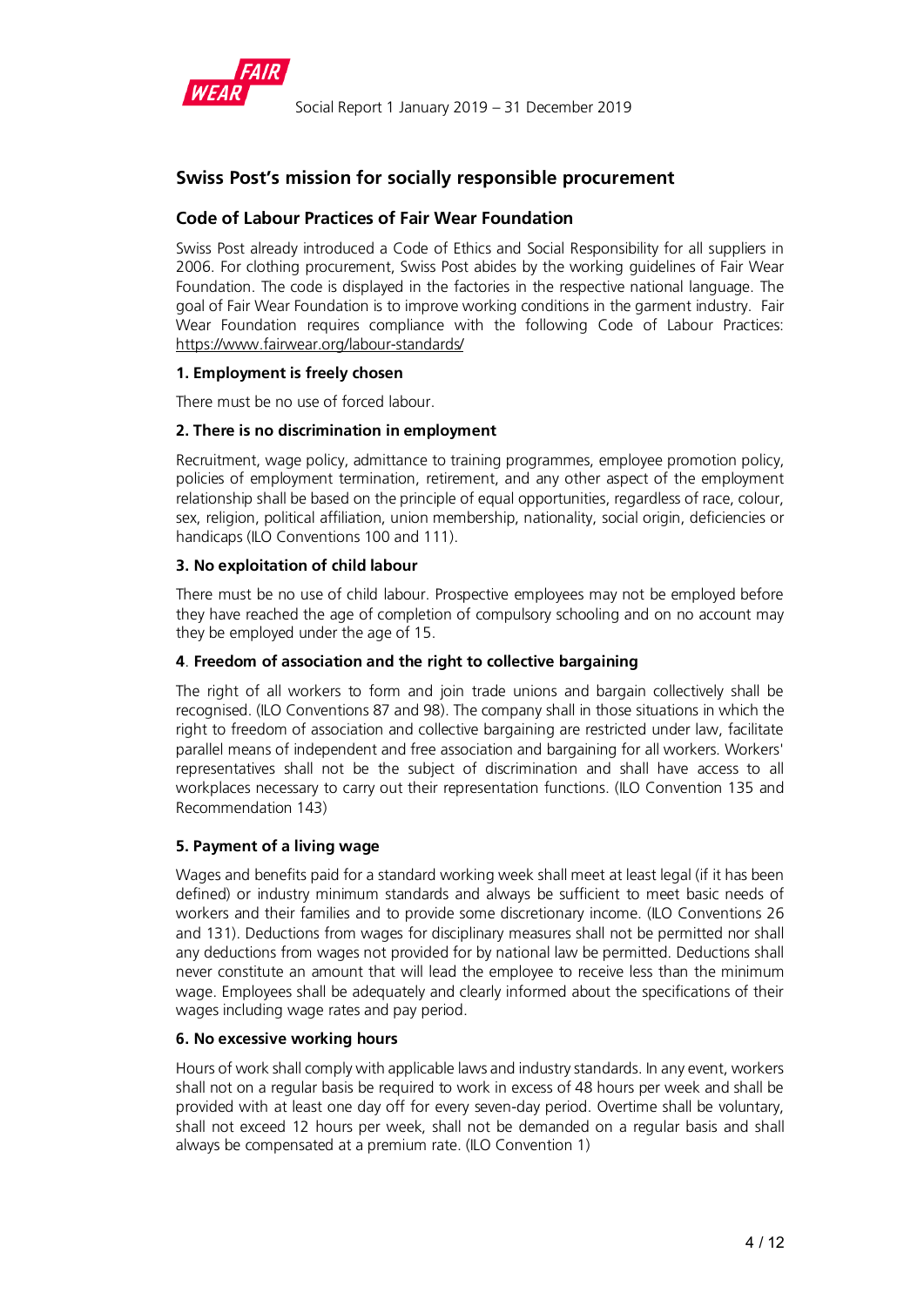

# **Swiss Post's mission for socially responsible procurement**

# **Code of Labour Practices of Fair Wear Foundation**

Swiss Post already introduced a Code of Ethics and Social Responsibility for all suppliers in 2006. For clothing procurement, Swiss Post abides by the working guidelines of Fair Wear Foundation. The code is displayed in the factories in the respective national language. The goal of Fair Wear Foundation is to improve working conditions in the garment industry. Fair Wear Foundation requires compliance with the following Code of Labour Practices: <https://www.fairwear.org/labour-standards/>

## **1. Employment is freely chosen**

There must be no use of forced labour.

## **2. There is no discrimination in employment**

Recruitment, wage policy, admittance to training programmes, employee promotion policy, policies of employment termination, retirement, and any other aspect of the employment relationship shall be based on the principle of equal opportunities, regardless of race, colour, sex, religion, political affiliation, union membership, nationality, social origin, deficiencies or handicaps (ILO Conventions 100 and 111).

## **3. No exploitation of child labour**

There must be no use of child labour. Prospective employees may not be employed before they have reached the age of completion of compulsory schooling and on no account may they be employed under the age of 15.

## **4**. **Freedom of association and the right to collective bargaining**

The right of all workers to form and join trade unions and bargain collectively shall be recognised. (ILO Conventions 87 and 98). The company shall in those situations in which the right to freedom of association and collective bargaining are restricted under law, facilitate parallel means of independent and free association and bargaining for all workers. Workers' representatives shall not be the subject of discrimination and shall have access to all workplaces necessary to carry out their representation functions. (ILO Convention 135 and Recommendation 143)

## **5. Payment of a living wage**

Wages and benefits paid for a standard working week shall meet at least legal (if it has been defined) or industry minimum standards and always be sufficient to meet basic needs of workers and their families and to provide some discretionary income. (ILO Conventions 26 and 131). Deductions from wages for disciplinary measures shall not be permitted nor shall any deductions from wages not provided for by national law be permitted. Deductions shall never constitute an amount that will lead the employee to receive less than the minimum wage. Employees shall be adequately and clearly informed about the specifications of their wages including wage rates and pay period.

## **6. No excessive working hours**

Hours of work shall comply with applicable laws and industry standards. In any event, workers shall not on a regular basis be required to work in excess of 48 hours per week and shall be provided with at least one day off for every seven-day period. Overtime shall be voluntary, shall not exceed 12 hours per week, shall not be demanded on a regular basis and shall always be compensated at a premium rate. (ILO Convention 1)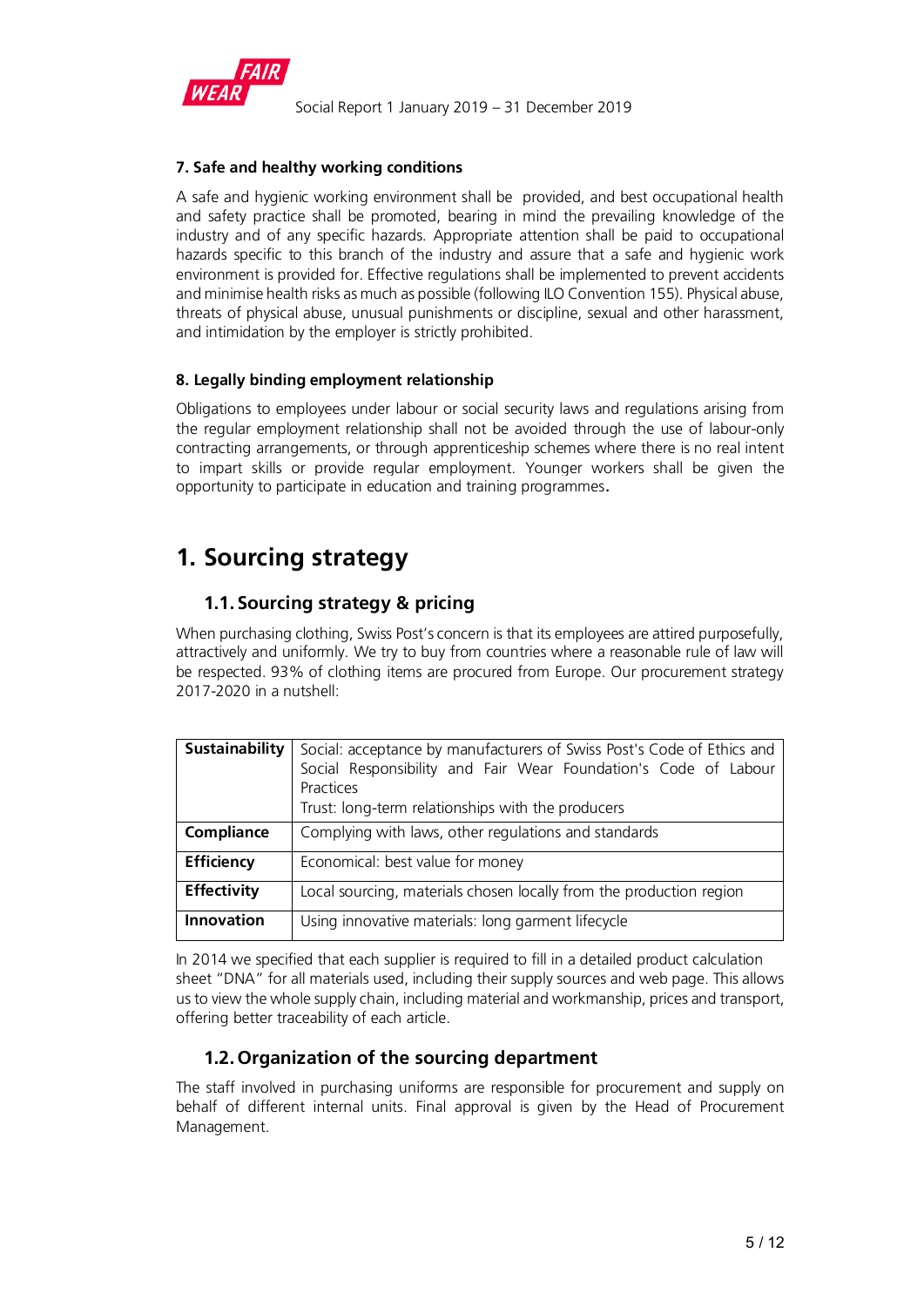

# **7. Safe and healthy working conditions**

A safe and hygienic working environment shall be provided, and best occupational health and safety practice shall be promoted, bearing in mind the prevailing knowledge of the industry and of any specific hazards. Appropriate attention shall be paid to occupational hazards specific to this branch of the industry and assure that a safe and hygienic work environment is provided for. Effective regulations shall be implemented to prevent accidents and minimise health risks as much as possible (following ILO Convention 155). Physical abuse, threats of physical abuse, unusual punishments or discipline, sexual and other harassment, and intimidation by the employer is strictly prohibited.

# **8. Legally binding employment relationship**

Obligations to employees under labour or social security laws and regulations arising from the regular employment relationship shall not be avoided through the use of labour-only contracting arrangements, or through apprenticeship schemes where there is no real intent to impart skills or provide regular employment. Younger workers shall be given the opportunity to participate in education and training programmes.

# <span id="page-4-0"></span>**1. Sourcing strategy**

# <span id="page-4-1"></span>**1.1. Sourcing strategy & pricing**

When purchasing clothing, Swiss Post's concern is that its employees are attired purposefully, attractively and uniformly. We try to buy from countries where a reasonable rule of law will be respected. 93% of clothing items are procured from Europe. Our procurement strategy 2017-2020 in a nutshell:

| <b>Sustainability</b> | Social: acceptance by manufacturers of Swiss Post's Code of Ethics and<br>Social Responsibility and Fair Wear Foundation's Code of Labour<br>Practices<br>Trust: long-term relationships with the producers |  |  |  |  |  |  |  |  |
|-----------------------|-------------------------------------------------------------------------------------------------------------------------------------------------------------------------------------------------------------|--|--|--|--|--|--|--|--|
| Compliance            | Complying with laws, other regulations and standards                                                                                                                                                        |  |  |  |  |  |  |  |  |
| <b>Efficiency</b>     | Economical: best value for money                                                                                                                                                                            |  |  |  |  |  |  |  |  |
| <b>Effectivity</b>    | Local sourcing, materials chosen locally from the production region                                                                                                                                         |  |  |  |  |  |  |  |  |
| <b>Innovation</b>     | Using innovative materials: long garment lifecycle                                                                                                                                                          |  |  |  |  |  |  |  |  |

In 2014 we specified that each supplier is required to fill in a detailed product calculation sheet "DNA" for all materials used, including their supply sources and web page. This allows us to view the whole supply chain, including material and workmanship, prices and transport, offering better traceability of each article.

# <span id="page-4-2"></span>**1.2.Organization of the sourcing department**

The staff involved in purchasing uniforms are responsible for procurement and supply on behalf of different internal units. Final approval is given by the Head of Procurement Management.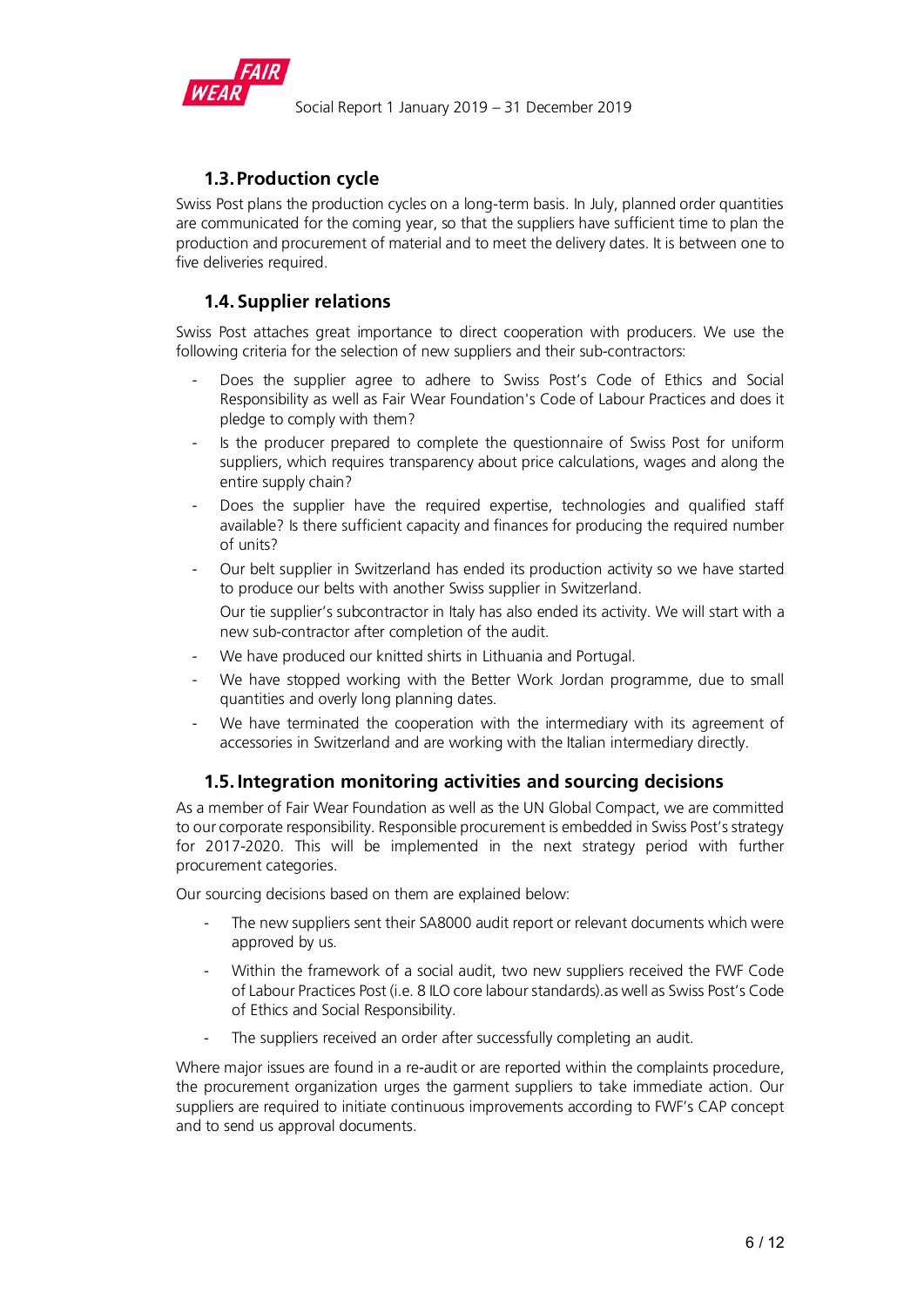

# **1.3.Production cycle**

<span id="page-5-0"></span>Swiss Post plans the production cycles on a long-term basis. In July, planned order quantities are communicated for the coming year, so that the suppliers have sufficient time to plan the production and procurement of material and to meet the delivery dates. It is between one to five deliveries required.

# <span id="page-5-1"></span>**1.4. Supplier relations**

Swiss Post attaches great importance to direct cooperation with producers. We use the following criteria for the selection of new suppliers and their sub-contractors:

- Does the supplier agree to adhere to Swiss Post's Code of Ethics and Social Responsibility as well as Fair Wear Foundation's Code of Labour Practices and does it pledge to comply with them?
- Is the producer prepared to complete the questionnaire of Swiss Post for uniform suppliers, which requires transparency about price calculations, wages and along the entire supply chain?
- Does the supplier have the required expertise, technologies and qualified staff available? Is there sufficient capacity and finances for producing the required number of units?
- Our belt supplier in Switzerland has ended its production activity so we have started to produce our belts with another Swiss supplier in Switzerland.

Our tie supplier's subcontractor in Italy has also ended its activity. We will start with a new sub-contractor after completion of the audit.

- We have produced our knitted shirts in Lithuania and Portugal.
- We have stopped working with the Better Work Jordan programme, due to small quantities and overly long planning dates.
- We have terminated the cooperation with the intermediary with its agreement of accessories in Switzerland and are working with the Italian intermediary directly.

# <span id="page-5-2"></span>**1.5. Integration monitoring activities and sourcing decisions**

As a member of Fair Wear Foundation as well as the UN Global Compact, we are committed to our corporate responsibility. Responsible procurement is embedded in Swiss Post's strategy for 2017-2020. This will be implemented in the next strategy period with further procurement categories.

Our sourcing decisions based on them are explained below:

- The new suppliers sent their SA8000 audit report or relevant documents which were approved by us.
- Within the framework of a social audit, two new suppliers received the FWF Code of Labour Practices Post (i.e. 8 ILO core labour standards).as well as Swiss Post's Code of Ethics and Social Responsibility.
- The suppliers received an order after successfully completing an audit.

Where major issues are found in a re-audit or are reported within the complaints procedure, the procurement organization urges the garment suppliers to take immediate action. Our suppliers are required to initiate continuous improvements according to FWF's CAP concept and to send us approval documents.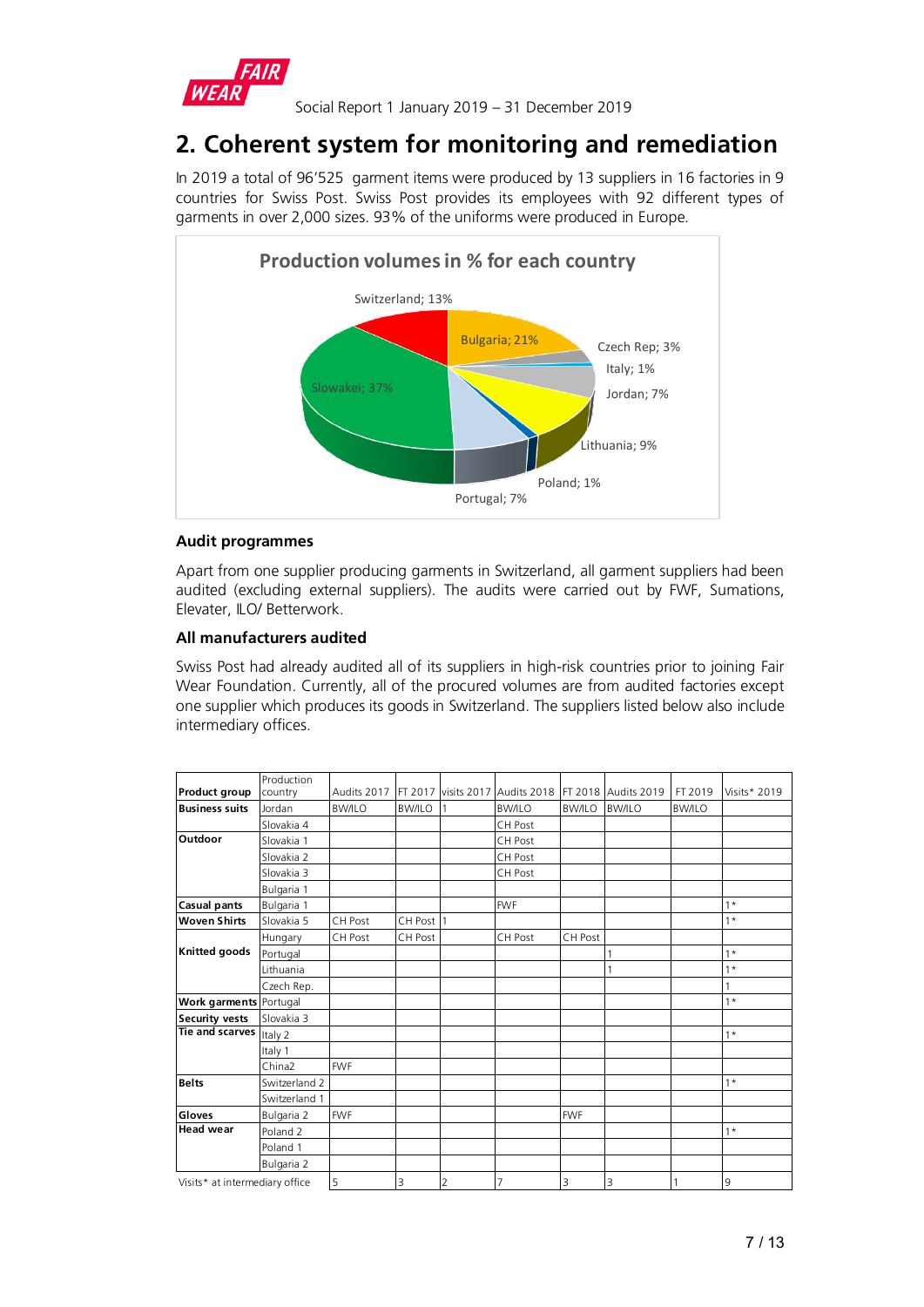

# **2. Coherent system for monitoring and remediation**

In 2019 a total of 96'525 garment items were produced by 13 suppliers in 16 factories in 9 countries for Swiss Post. Swiss Post provides its employees with 92 different types of garments in over 2,000 sizes. 93% of the uniforms were produced in Europe.



# **Audit programmes**

Apart from one supplier producing garments in Switzerland, all garment suppliers had been audited (excluding external suppliers). The audits were carried out by FWF, Sumations, Elevater, ILO/ Betterwork.

## **All manufacturers audited**

Swiss Post had already audited all of its suppliers in high-risk countries prior to joining Fair Wear Foundation. Currently, all of the procured volumes are from audited factories except one supplier which produces its goods in Switzerland. The suppliers listed below also include intermediary offices.

|                                | Production          |               |               |                     |               |               |                     |               |              |
|--------------------------------|---------------------|---------------|---------------|---------------------|---------------|---------------|---------------------|---------------|--------------|
| Product group                  | country             | Audits 2017   |               | FT 2017 visits 2017 | Audits 2018   |               | FT 2018 Audits 2019 | FT 2019       | Visits* 2019 |
| <b>Business suits</b>          | Jordan              | <b>BW/ILO</b> | <b>BW/ILO</b> |                     | <b>BW/ILO</b> | <b>BW/ILO</b> | <b>BW/ILO</b>       | <b>BW/ILO</b> |              |
|                                | Slovakia 4          |               |               |                     | CH Post       |               |                     |               |              |
| Outdoor                        | Slovakia 1          |               |               |                     | CH Post       |               |                     |               |              |
|                                | Slovakia 2          |               |               |                     | CH Post       |               |                     |               |              |
|                                | Slovakia 3          |               |               |                     | CH Post       |               |                     |               |              |
|                                | Bulgaria 1          |               |               |                     |               |               |                     |               |              |
| Casual pants                   | Bulgaria 1          |               |               |                     | <b>FWF</b>    |               |                     |               | $1*$         |
| <b>Woven Shirts</b>            | Slovakia 5          | CH Post       | CH Post       | $\overline{1}$      |               |               |                     |               | $1*$         |
|                                | Hungary             | CH Post       | CH Post       |                     | CH Post       | CH Post       |                     |               |              |
| Knitted goods                  | Portugal            |               |               |                     |               |               |                     |               | $1*$         |
|                                | Lithuania           |               |               |                     |               |               |                     |               | $1*$         |
|                                | Czech Rep.          |               |               |                     |               |               |                     |               | 1            |
| Work garments Portugal         |                     |               |               |                     |               |               |                     |               | $1*$         |
| <b>Security vests</b>          | Slovakia 3          |               |               |                     |               |               |                     |               |              |
| <b>Tie and scarves</b>         | Italy 2             |               |               |                     |               |               |                     |               | $1*$         |
|                                | Italy 1             |               |               |                     |               |               |                     |               |              |
|                                | China <sub>2</sub>  | <b>FWF</b>    |               |                     |               |               |                     |               |              |
| <b>Belts</b>                   | Switzerland 2       |               |               |                     |               |               |                     |               | $1*$         |
|                                | Switzerland 1       |               |               |                     |               |               |                     |               |              |
| Gloves                         | Bulgaria 2          | <b>FWF</b>    |               |                     |               | <b>FWF</b>    |                     |               |              |
| <b>Head wear</b>               | Poland <sub>2</sub> |               |               |                     |               |               |                     |               | $1*$         |
|                                | Poland 1            |               |               |                     |               |               |                     |               |              |
|                                | Bulgaria 2          |               |               |                     |               |               |                     |               |              |
| Visits* at intermediary office |                     | 5             | 3             | $\overline{2}$      | 7             | 3             | 3                   |               | 9            |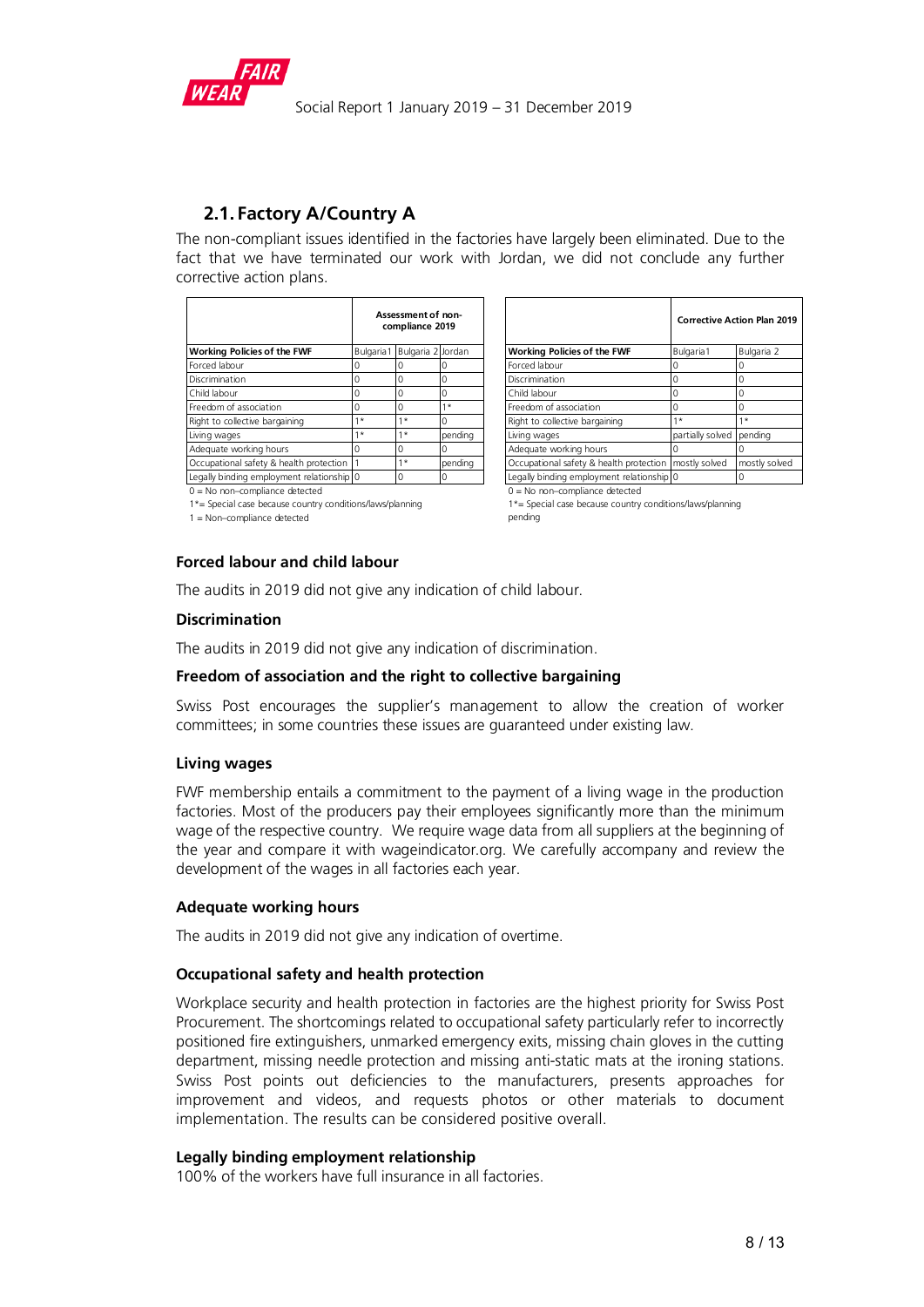

# **2.1. Factory A/Country A**

The non-compliant issues identified in the factories have largely been eliminated. Due to the fact that we have terminated our work with Jordan, we did not conclude any further corrective action plans.

|                                           | Assessment of non-<br>compliance 2019 |      |         |                                                         | Corrective Action Plan   |  |
|-------------------------------------------|---------------------------------------|------|---------|---------------------------------------------------------|--------------------------|--|
| <b>Working Policies of the FWF</b>        | Bulgaria1 Bulgaria 2 Jordan           |      |         | Working Policies of the FWF                             | Bulgaria1                |  |
| Forced labour                             |                                       |      |         | Forced labour                                           |                          |  |
| Discrimination                            |                                       |      |         | Discrimination                                          |                          |  |
| Child labour                              |                                       |      |         | Child labour                                            |                          |  |
| Freedom of association                    |                                       |      | $1*$    | Freedom of association                                  |                          |  |
| Right to collective bargaining            | $1*$                                  | $1*$ |         | Right to collective bargaining                          | $1*$                     |  |
| Living wages                              | $1*$                                  | $1*$ | pendina | Living wages                                            | partially solved pending |  |
| Adequate working hours                    |                                       |      |         | Adequate working hours                                  |                          |  |
| Occupational safety & health protection   |                                       | $1*$ | pending | Occupational safety & health protection   mostly solved |                          |  |
| Legally binding employment relationship 0 |                                       | 0    |         | Legally binding employment relationship 0               |                          |  |

|                                           | Assessment of non-<br>compliance 2019 |                             |         |                                                         | <b>Corrective Action Plan 2019</b> |               |  |  |
|-------------------------------------------|---------------------------------------|-----------------------------|---------|---------------------------------------------------------|------------------------------------|---------------|--|--|
| Working Policies of the FWF               |                                       | Bulgaria1 Bulgaria 2 Jordan |         | <b>Working Policies of the FWF</b>                      | Bulgaria1                          | Bulgaria 2    |  |  |
| Forced labour                             |                                       |                             |         | Forced labour                                           |                                    |               |  |  |
| Discrimination                            |                                       |                             |         | Discrimination                                          |                                    |               |  |  |
| Child labour                              |                                       |                             |         | Child labour                                            |                                    |               |  |  |
| Freedom of association                    |                                       |                             | $\star$ | Freedom of association                                  |                                    |               |  |  |
| Right to collective bargaining            | $1*$                                  | $1*$                        |         | Right to collective bargaining                          | $1*$                               | $1*$          |  |  |
| Living wages                              | $1*$                                  | $1*$                        | pending | Living wages                                            | partially solved pending           |               |  |  |
| Adequate working hours                    |                                       |                             |         | Adequate working hours                                  |                                    |               |  |  |
| Occupational safety & health protection   |                                       | $1*$                        | pendina | Occupational safety & health protection   mostly solved |                                    | mostly solved |  |  |
| Legally binding employment relationship 0 |                                       |                             |         | Legally binding employment relationship 0               |                                    |               |  |  |

 $0 = No$  non–compliance detected  $1*$  = Special case because country conditions/laws/planning  $0 = No$  non–compliance detected  $1*$  = Special case because country

 $1 =$  Non-compliance detected

 $1*$ = Special case because country conditions/laws/planning pending

## **Forced labour and child labour**

The audits in 2019 did not give any indication of child labour.

#### **Discrimination**

The audits in 2019 did not give any indication of discrimination.

#### **Freedom of association and the right to collective bargaining**

Swiss Post encourages the supplier's management to allow the creation of worker committees; in some countries these issues are guaranteed under existing law.

#### **Living wages**

FWF membership entails a commitment to the payment of a living wage in the production factories. Most of the producers pay their employees significantly more than the minimum wage of the respective country. We require wage data from all suppliers at the beginning of the year and compare it with wageindicator.org. We carefully accompany and review the development of the wages in all factories each year.

## **Adequate working hours**

The audits in 2019 did not give any indication of overtime.

## **Occupational safety and health protection**

Workplace security and health protection in factories are the highest priority for Swiss Post Procurement. The shortcomings related to occupational safety particularly refer to incorrectly positioned fire extinguishers, unmarked emergency exits, missing chain gloves in the cutting department, missing needle protection and missing anti-static mats at the ironing stations. Swiss Post points out deficiencies to the manufacturers, presents approaches for improvement and videos, and requests photos or other materials to document implementation. The results can be considered positive overall.

#### **Legally binding employment relationship**

100% of the workers have full insurance in all factories.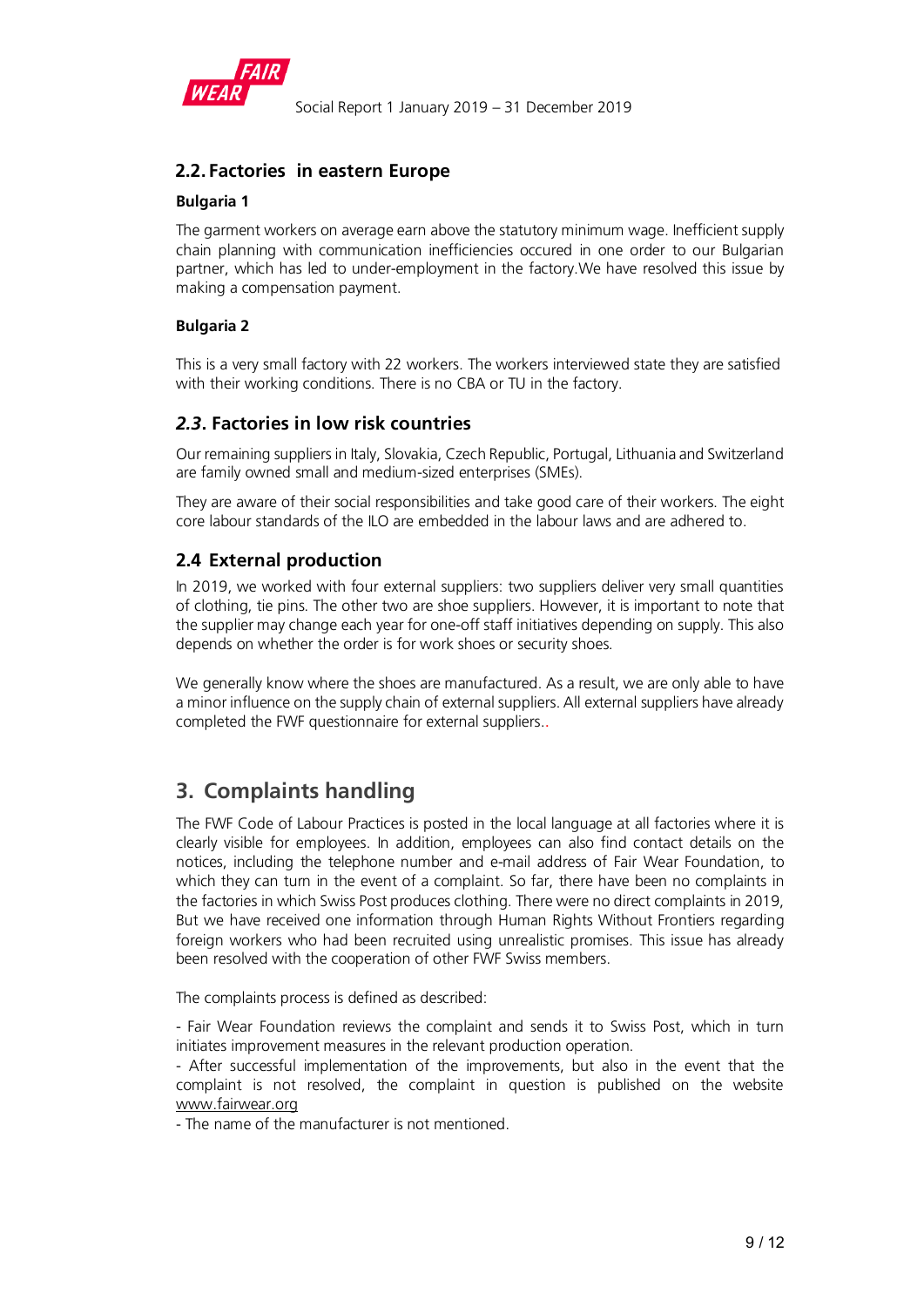

# <span id="page-8-0"></span>**2.2. Factories in eastern Europe**

# **Bulgaria 1**

The garment workers on average earn above the statutory minimum wage. Inefficient supply chain planning with communication inefficiencies occured in one order to our Bulgarian partner, which has led to under-employment in the factory.We have resolved this issue by making a compensation payment.

# **Bulgaria 2**

This is a very small factory with 22 workers. The workers interviewed state they are satisfied with their working conditions. There is no CBA or TU in the factory.

# <span id="page-8-1"></span>*2.3***. Factories in low risk countries**

Our remaining suppliers in Italy, Slovakia, Czech Republic, Portugal, Lithuania and Switzerland are family owned small and medium-sized enterprises (SMEs).

They are aware of their social responsibilities and take good care of their workers. The eight core labour standards of the ILO are embedded in the labour laws and are adhered to.

# <span id="page-8-2"></span>**2.4 External production**

In 2019, we worked with four external suppliers: two suppliers deliver very small quantities of clothing, tie pins. The other two are shoe suppliers. However, it is important to note that the supplier may change each year for one-off staff initiatives depending on supply. This also depends on whether the order is for work shoes or security shoes.

We generally know where the shoes are manufactured. As a result, we are only able to have a minor influence on the supply chain of external suppliers. All external suppliers have already completed the FWF questionnaire for external suppliers..

# <span id="page-8-3"></span>**3. Complaints handling**

The FWF Code of Labour Practices is posted in the local language at all factories where it is clearly visible for employees. In addition, employees can also find contact details on the notices, including the telephone number and e-mail address of Fair Wear Foundation, to which they can turn in the event of a complaint. So far, there have been no complaints in the factories in which Swiss Post produces clothing. There were no direct complaints in 2019, But we have received one information through Human Rights Without Frontiers regarding foreign workers who had been recruited using unrealistic promises. This issue has already been resolved with the cooperation of other FWF Swiss members.

The complaints process is defined as described:

- Fair Wear Foundation reviews the complaint and sends it to Swiss Post, which in turn initiates improvement measures in the relevant production operation.

- After successful implementation of the improvements, but also in the event that the complaint is not resolved, the complaint in question is published on the website [www.fairwear.org](http://www.fairwear.org/)

- The name of the manufacturer is not mentioned.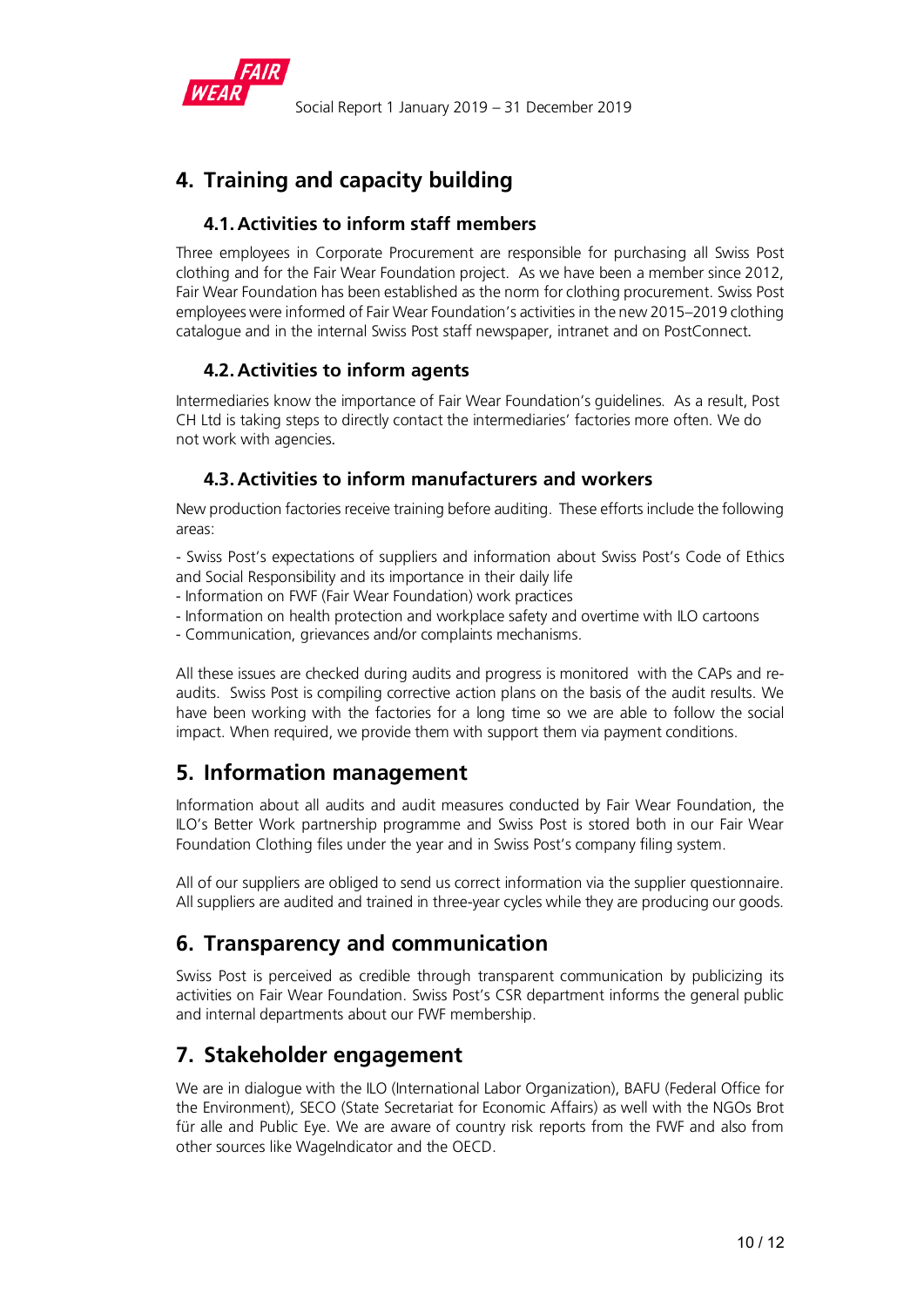

# <span id="page-9-0"></span>**4. Training and capacity building**

# <span id="page-9-1"></span>**4.1. Activities to inform staff members**

Three employees in Corporate Procurement are responsible for purchasing all Swiss Post clothing and for the Fair Wear Foundation project. As we have been a member since 2012, Fair Wear Foundation has been established as the norm for clothing procurement. Swiss Post employees were informed of Fair Wear Foundation's activities in the new 2015–2019 clothing catalogue and in the internal Swiss Post staff newspaper, intranet and on PostConnect.

# <span id="page-9-2"></span>**4.2. Activities to inform agents**

Intermediaries know the importance of Fair Wear Foundation's guidelines. As a result, Post CH Ltd is taking steps to directly contact the intermediaries' factories more often. We do not work with agencies.

# <span id="page-9-3"></span>**4.3. Activities to inform manufacturers and workers**

New production factories receive training before auditing. These efforts include the following areas:

- Swiss Post's expectations of suppliers and information about Swiss Post's Code of Ethics and Social Responsibility and its importance in their daily life

- Information on FWF (Fair Wear Foundation) work practices
- Information on health protection and workplace safety and overtime with ILO cartoons
- Communication, grievances and/or complaints mechanisms.

All these issues are checked during audits and progress is monitored with the CAPs and reaudits. Swiss Post is compiling corrective action plans on the basis of the audit results. We have been working with the factories for a long time so we are able to follow the social impact. When required, we provide them with support them via payment conditions.

# <span id="page-9-4"></span>**5. Information management**

Information about all audits and audit measures conducted by Fair Wear Foundation, the ILO's Better Work partnership programme and Swiss Post is stored both in our Fair Wear Foundation Clothing files under the year and in Swiss Post's company filing system.

All of our suppliers are obliged to send us correct information via the supplier questionnaire. All suppliers are audited and trained in three-year cycles while they are producing our goods.

# <span id="page-9-5"></span>**6. Transparency and communication**

Swiss Post is perceived as credible through transparent communication by publicizing its activities on Fair Wear Foundation. Swiss Post's CSR department informs the general public and internal departments about our FWF membership.

# <span id="page-9-6"></span>**7. Stakeholder engagement**

We are in dialogue with the ILO (International Labor Organization), BAFU (Federal Office for the Environment), SECO (State Secretariat for Economic Affairs) as well with the NGOs Brot für alle and Public Eye. We are aware of country risk reports from the FWF and also from other sources like WageIndicator and the OECD.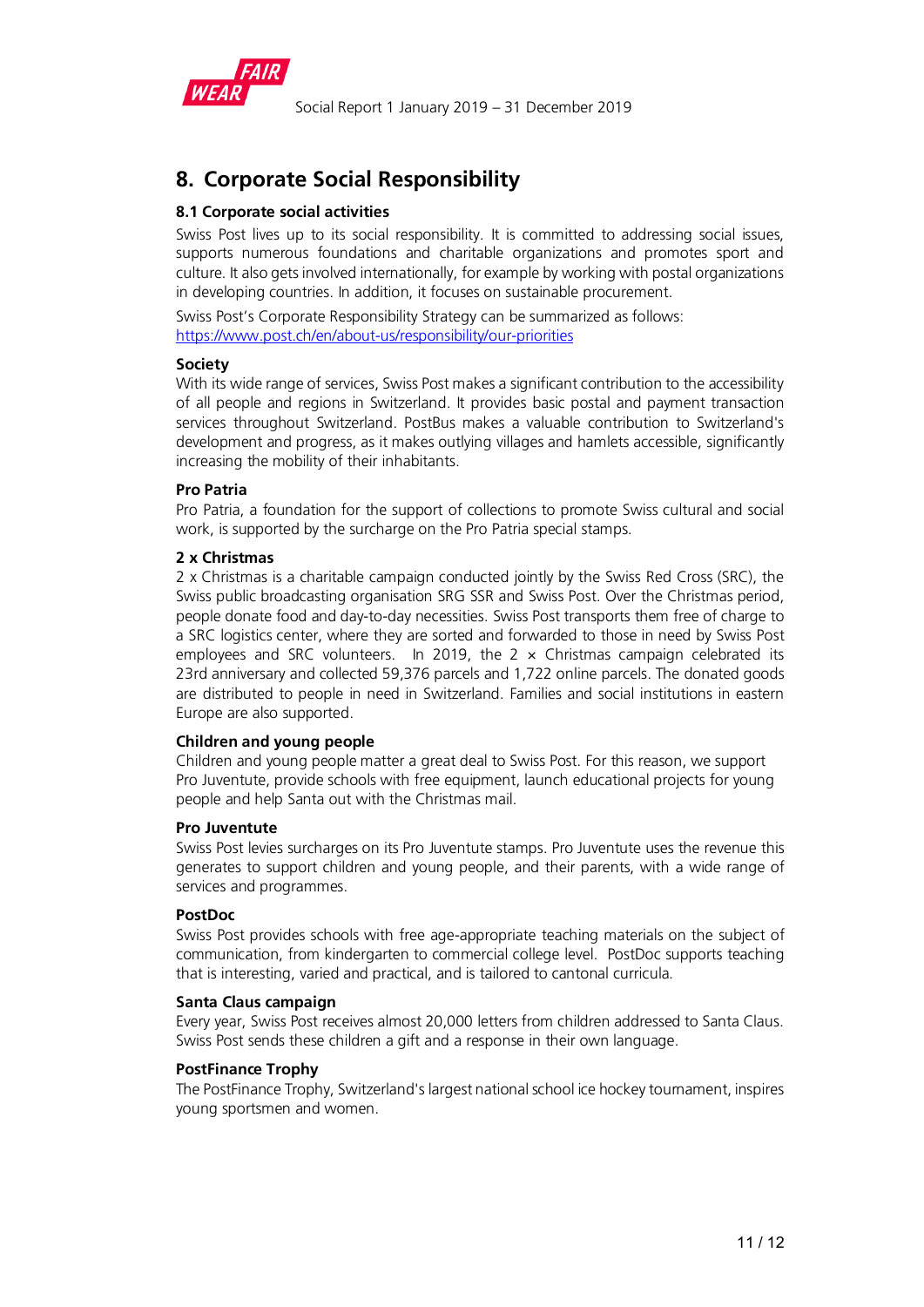

# <span id="page-10-0"></span>**8. Corporate Social Responsibility**

# **8.1 Corporate social activities**

Swiss Post lives up to its social responsibility. It is committed to addressing social issues, supports numerous foundations and charitable organizations and promotes sport and culture. It also gets involved internationally, for example by working with postal organizations in developing countries. In addition, it focuses on sustainable procurement.

Swiss Post's Corporate Responsibility Strategy can be summarized as follows: <https://www.post.ch/en/about-us/responsibility/our-priorities>

## **Society**

With its wide range of services, Swiss Post makes a significant contribution to the accessibility of all people and regions in Switzerland. It provides basic postal and payment transaction services throughout Switzerland. PostBus makes a valuable contribution to Switzerland's development and progress, as it makes outlying villages and hamlets accessible, significantly increasing the mobility of their inhabitants.

## **Pro Patria**

Pro Patria, a foundation for the support of collections to promote Swiss cultural and social work, is supported by the surcharge on the Pro Patria special stamps.

## **2 x Christmas**

2 x Christmas is a charitable campaign conducted jointly by the Swiss Red Cross (SRC), the Swiss public broadcasting organisation SRG SSR and Swiss Post. Over the Christmas period, people donate food and day-to-day necessities. Swiss Post transports them free of charge to a SRC logistics center, where they are sorted and forwarded to those in need by Swiss Post employees and SRC volunteers. In 2019, the  $2 \times$  Christmas campaign celebrated its 23rd anniversary and collected 59,376 parcels and 1,722 online parcels. The donated goods are distributed to people in need in Switzerland. Families and social institutions in eastern Europe are also supported.

## **Children and young people**

Children and young people matter a great deal to Swiss Post. For this reason, we support Pro Juventute, provide schools with free equipment, launch educational projects for young people and help Santa out with the Christmas mail.

## **Pro Juventute**

Swiss Post levies surcharges on its Pro Juventute stamps. Pro Juventute uses the revenue this generates to support children and young people, and their parents, with a wide range of services and programmes.

## **PostDoc**

Swiss Post provides schools with free age-appropriate teaching materials on the subject of communication, from kindergarten to commercial college level. PostDoc supports teaching that is interesting, varied and practical, and is tailored to cantonal curricula.

## **Santa Claus campaign**

Every year, Swiss Post receives almost 20,000 letters from children addressed to Santa Claus. Swiss Post sends these children a gift and a response in their own language.

## **PostFinance Trophy**

The PostFinance Trophy, Switzerland's largest national school ice hockey tournament, inspires young sportsmen and women.